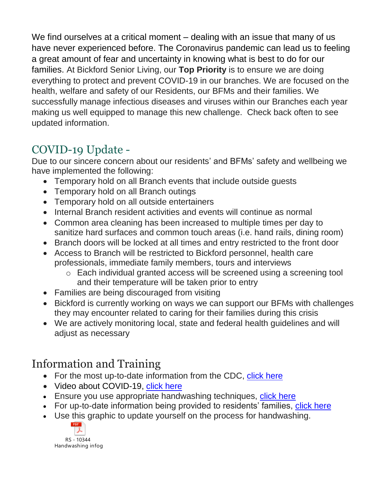We find ourselves at a critical moment – dealing with an issue that many of us have never experienced before. The Coronavirus pandemic can lead us to feeling a great amount of fear and uncertainty in knowing what is best to do for our families. At Bickford Senior Living, our **Top Priority** is to ensure we are doing everything to protect and prevent COVID-19 in our branches. We are focused on the health, welfare and safety of our Residents, our BFMs and their families. We successfully manage infectious diseases and viruses within our Branches each year making us well equipped to manage this new challenge. Check back often to see updated information.

# COVID-19 Update -

Due to our sincere concern about our residents' and BFMs' safety and wellbeing we have implemented the following:

- Temporary hold on all Branch events that include outside guests
- Temporary hold on all Branch outings
- Temporary hold on all outside entertainers
- Internal Branch resident activities and events will continue as normal
- Common area cleaning has been increased to multiple times per day to sanitize hard surfaces and common touch areas (i.e. hand rails, dining room)
- Branch doors will be locked at all times and entry restricted to the front door
- Access to Branch will be restricted to Bickford personnel, health care professionals, immediate family members, tours and interviews
	- o Each individual granted access will be screened using a screening tool and their temperature will be taken prior to entry
- Families are being discouraged from visiting
- Bickford is currently working on ways we can support our BFMs with challenges they may encounter related to caring for their families during this crisis
- We are actively monitoring local, state and federal health guidelines and will adjust as necessary

# Information and Training

- For the most up-to-date information from the CDC, [click here](https://www.cdc.gov/coronavirus/2019-nCoV/?deliveryName=USCDC_2067-DM21103)
- Video about COVID-19, [click here](https://www.youtube.com/watch?v=eup3_i_5uaw)
- Ensure you use appropriate handwashing techniques, [click here](https://www.youtube.com/watch?v=zWUTNjgljns&feature=youtu.be)
- For up-to-date information being provided to residents' families, [click here](https://www.bickfordseniorliving.com/coronavirus-preparedness)
- Use this graphic to update yourself on the process for handwashing.

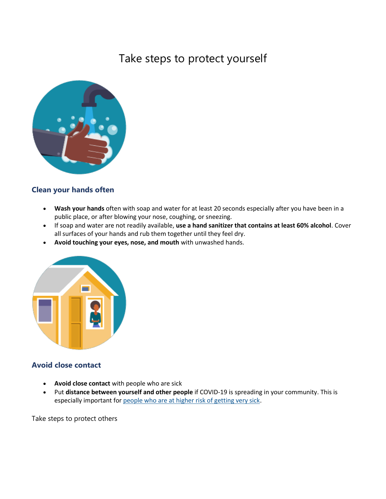### Take steps to protect yourself



#### **Clean your hands often**

- **Wash your hands** often with soap and water for at least 20 seconds especially after you have been in a public place, or after blowing your nose, coughing, or sneezing.
- If soap and water are not readily available, **use a hand sanitizer that contains at least 60% alcohol**. Cover all surfaces of your hands and rub them together until they feel dry.
- **Avoid touching your eyes, nose, and mouth** with unwashed hands.



#### **Avoid close contact**

- **Avoid close contact** with people who are sick
- Put **distance between yourself and other people** if COVID-19 is spreading in your community. This is especially important for [people who are at higher risk of getting very sick.](https://www.cdc.gov/coronavirus/2019-ncov/specific-groups/high-risk-complications.html)

Take steps to protect others